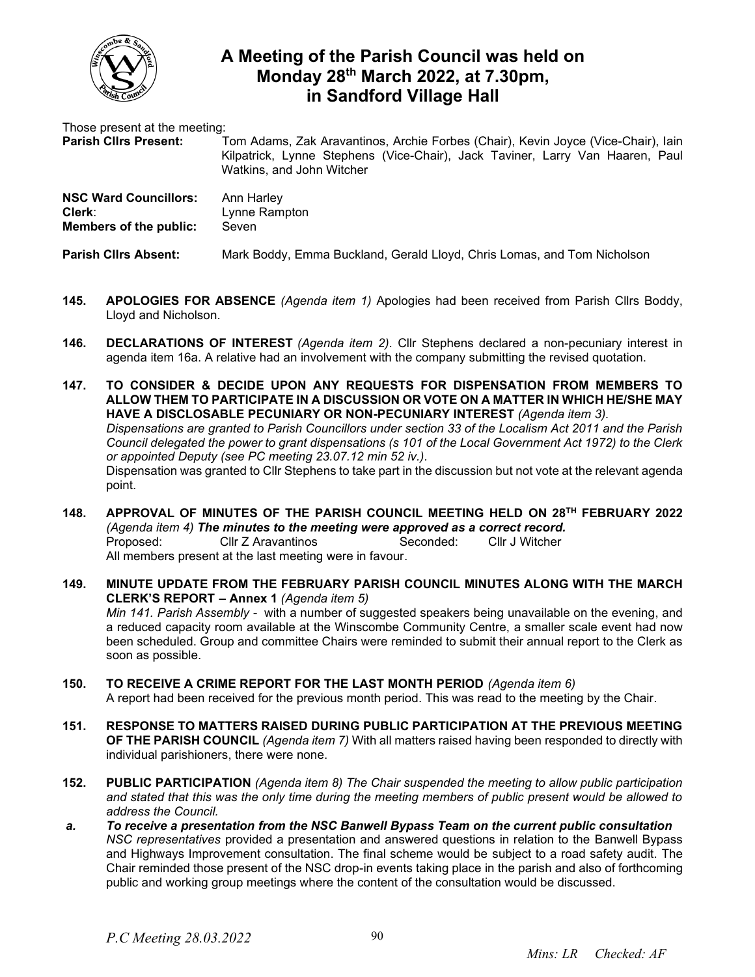

## **A Meeting of the Parish Council was held on Monday 28 th March 2022, at 7.30pm, in Sandford Village Hall**

Those present at the meeting:

**Parish Cllrs Present:** Tom Adams, Zak Aravantinos, Archie Forbes (Chair), Kevin Joyce (Vice-Chair), Iain Kilpatrick, Lynne Stephens (Vice-Chair), Jack Taviner, Larry Van Haaren, Paul Watkins, and John Witcher

| <b>NSC Ward Councillors:</b>  | Ann Harley    |
|-------------------------------|---------------|
| Clerk:                        | Lynne Rampton |
| <b>Members of the public:</b> | Seven         |

**Parish Cllrs Absent:** Mark Boddy, Emma Buckland, Gerald Lloyd, Chris Lomas, and Tom Nicholson

- **145. APOLOGIES FOR ABSENCE** *(Agenda item 1)* Apologies had been received from Parish Cllrs Boddy, Lloyd and Nicholson.
- **146. DECLARATIONS OF INTEREST** *(Agenda item 2)*. Cllr Stephens declared a non-pecuniary interest in agenda item 16a. A relative had an involvement with the company submitting the revised quotation.
- **147. TO CONSIDER & DECIDE UPON ANY REQUESTS FOR DISPENSATION FROM MEMBERS TO ALLOW THEM TO PARTICIPATE IN A DISCUSSION OR VOTE ON A MATTER IN WHICH HE/SHE MAY HAVE A DISCLOSABLE PECUNIARY OR NON-PECUNIARY INTEREST** *(Agenda item 3). Dispensations are granted to Parish Councillors under section 33 of the Localism Act 2011 and the Parish Council delegated the power to grant dispensations (s 101 of the Local Government Act 1972) to the Clerk or appointed Deputy (see PC meeting 23.07.12 min 52 iv.).*  Dispensation was granted to Cllr Stephens to take part in the discussion but not vote at the relevant agenda point.
- **148. APPROVAL OF MINUTES OF THE PARISH COUNCIL MEETING HELD ON 28 TH FEBRUARY 2022** *(Agenda item 4) The minutes to the meeting were approved as a correct record.* Proposed: Cllr Z Aravantinos Seconded: Cllr J Witcher All members present at the last meeting were in favour.
- **149. MINUTE UPDATE FROM THE FEBRUARY PARISH COUNCIL MINUTES ALONG WITH THE MARCH CLERK'S REPORT – Annex 1** *(Agenda item 5) Min 141. Parish Assembly -* with a number of suggested speakers being unavailable on the evening, and a reduced capacity room available at the Winscombe Community Centre, a smaller scale event had now been scheduled. Group and committee Chairs were reminded to submit their annual report to the Clerk as soon as possible.
- **150. TO RECEIVE A CRIME REPORT FOR THE LAST MONTH PERIOD** *(Agenda item 6)*  A report had been received for the previous month period. This was read to the meeting by the Chair.
- **151. RESPONSE TO MATTERS RAISED DURING PUBLIC PARTICIPATION AT THE PREVIOUS MEETING OF THE PARISH COUNCIL** *(Agenda item 7)* With all matters raised having been responded to directly with individual parishioners, there were none.
- **152. PUBLIC PARTICIPATION** *(Agenda item 8) The Chair suspended the meeting to allow public participation and stated that this was the only time during the meeting members of public present would be allowed to address the Council.*
- *a. To receive a presentation from the NSC Banwell Bypass Team on the current public consultation NSC representatives* provided a presentation and answered questions in relation to the Banwell Bypass and Highways Improvement consultation. The final scheme would be subject to a road safety audit. The Chair reminded those present of the NSC drop-in events taking place in the parish and also of forthcoming public and working group meetings where the content of the consultation would be discussed.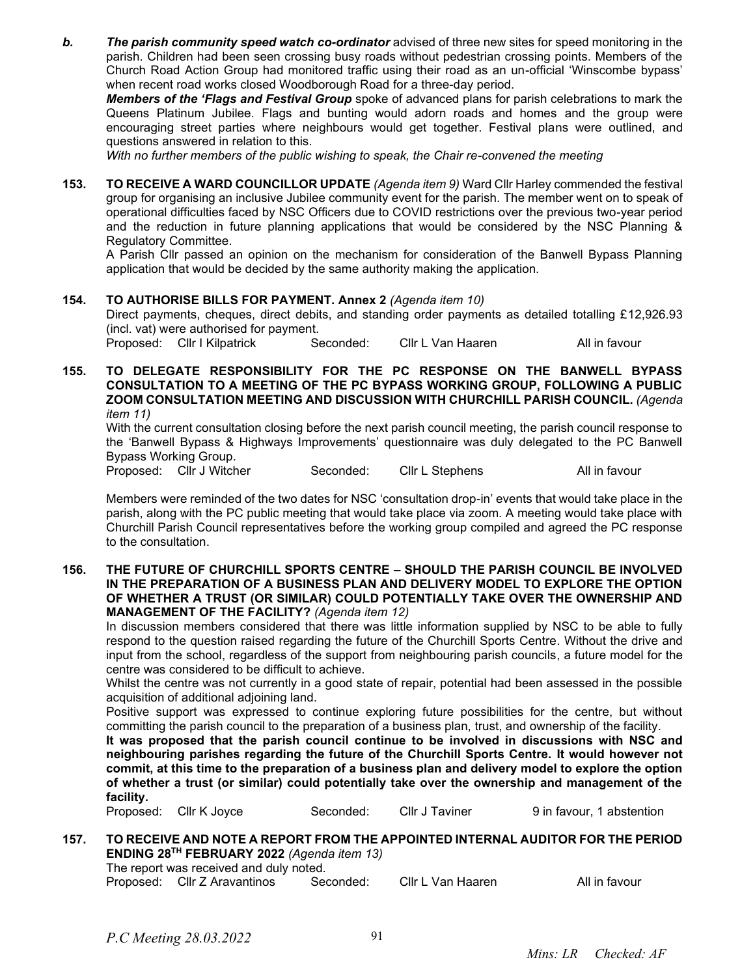*b. The parish community speed watch co-ordinator* advised of three new sites for speed monitoring in the parish. Children had been seen crossing busy roads without pedestrian crossing points. Members of the Church Road Action Group had monitored traffic using their road as an un-official 'Winscombe bypass' when recent road works closed Woodborough Road for a three-day period.

*Members of the 'Flags and Festival Group* spoke of advanced plans for parish celebrations to mark the Queens Platinum Jubilee. Flags and bunting would adorn roads and homes and the group were encouraging street parties where neighbours would get together. Festival plans were outlined, and questions answered in relation to this.

*With no further members of the public wishing to speak, the Chair re-convened the meeting*

**153. TO RECEIVE A WARD COUNCILLOR UPDATE** *(Agenda item 9)* Ward Cllr Harley commended the festival group for organising an inclusive Jubilee community event for the parish. The member went on to speak of operational difficulties faced by NSC Officers due to COVID restrictions over the previous two-year period and the reduction in future planning applications that would be considered by the NSC Planning & Regulatory Committee.

A Parish Cllr passed an opinion on the mechanism for consideration of the Banwell Bypass Planning application that would be decided by the same authority making the application.

## **154. TO AUTHORISE BILLS FOR PAYMENT. Annex 2** *(Agenda item 10)*

Direct payments, cheques, direct debits, and standing order payments as detailed totalling £12,926.93 (incl. vat) were authorised for payment.

Proposed: Cllr I Kilpatrick Seconded: Cllr L Van Haaren All in favour

**155. TO DELEGATE RESPONSIBILITY FOR THE PC RESPONSE ON THE BANWELL BYPASS CONSULTATION TO A MEETING OF THE PC BYPASS WORKING GROUP, FOLLOWING A PUBLIC ZOOM CONSULTATION MEETING AND DISCUSSION WITH CHURCHILL PARISH COUNCIL.** *(Agenda item 11)*

With the current consultation closing before the next parish council meeting, the parish council response to the 'Banwell Bypass & Highways Improvements' questionnaire was duly delegated to the PC Banwell Bypass Working Group.

Proposed: Cllr J Witcher Seconded: Cllr L Stephens All in favour

Members were reminded of the two dates for NSC 'consultation drop-in' events that would take place in the parish, along with the PC public meeting that would take place via zoom. A meeting would take place with Churchill Parish Council representatives before the working group compiled and agreed the PC response to the consultation.

**156. THE FUTURE OF CHURCHILL SPORTS CENTRE – SHOULD THE PARISH COUNCIL BE INVOLVED IN THE PREPARATION OF A BUSINESS PLAN AND DELIVERY MODEL TO EXPLORE THE OPTION OF WHETHER A TRUST (OR SIMILAR) COULD POTENTIALLY TAKE OVER THE OWNERSHIP AND MANAGEMENT OF THE FACILITY?** *(Agenda item 12)*

In discussion members considered that there was little information supplied by NSC to be able to fully respond to the question raised regarding the future of the Churchill Sports Centre. Without the drive and input from the school, regardless of the support from neighbouring parish councils, a future model for the centre was considered to be difficult to achieve.

Whilst the centre was not currently in a good state of repair, potential had been assessed in the possible acquisition of additional adjoining land.

Positive support was expressed to continue exploring future possibilities for the centre, but without committing the parish council to the preparation of a business plan, trust, and ownership of the facility.

**It was proposed that the parish council continue to be involved in discussions with NSC and neighbouring parishes regarding the future of the Churchill Sports Centre. It would however not commit, at this time to the preparation of a business plan and delivery model to explore the option of whether a trust (or similar) could potentially take over the ownership and management of the facility.** 

Proposed: Cllr K Joyce Seconded: Cllr J Taviner 9 in favour, 1 abstention

## **157. TO RECEIVE AND NOTE A REPORT FROM THE APPOINTED INTERNAL AUDITOR FOR THE PERIOD ENDING 28TH FEBRUARY 2022** *(Agenda item 13)* The report was received and duly noted.

Proposed: Cllr Z Aravantinos Seconded: Cllr L Van Haaren All in favour